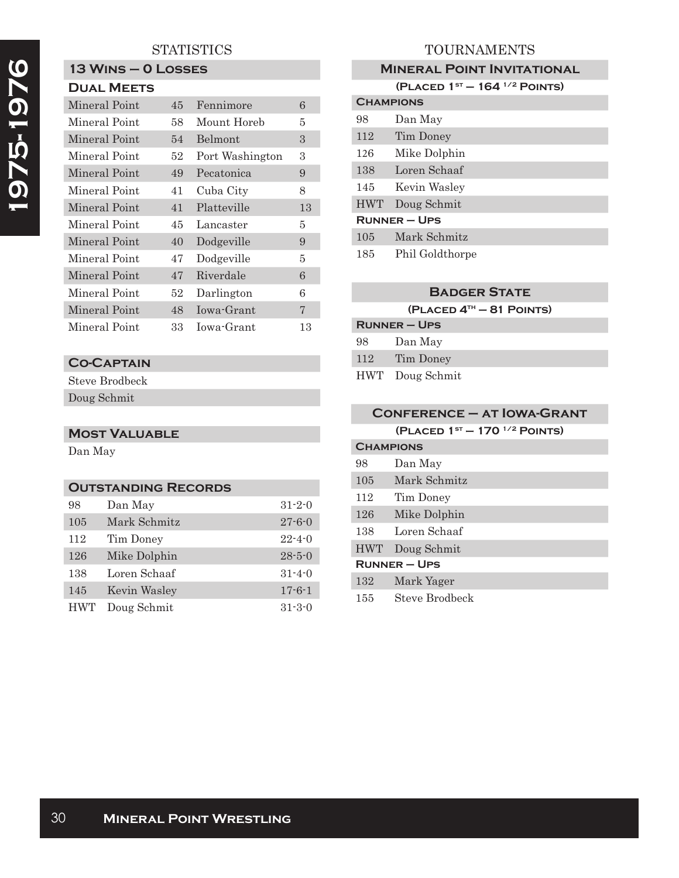## **STATISTICS**

# **13 Wins – 0 Losses**

| Mineral Point | 45 | Fennimore       | 6  |
|---------------|----|-----------------|----|
| Mineral Point | 58 | Mount Horeb     | 5  |
| Mineral Point | 54 | <b>Belmont</b>  | 3  |
| Mineral Point | 52 | Port Washington | 3  |
| Mineral Point | 49 | Pecatonica      | 9  |
| Mineral Point | 41 | Cuba City       | 8  |
| Mineral Point | 41 | Platteville     | 13 |
| Mineral Point | 45 | Lancaster       | 5  |
| Mineral Point | 40 | Dodgeville      | 9  |
| Mineral Point | 47 | Dodgeville      | 5  |
| Mineral Point | 47 | Riverdale       | 6  |
| Mineral Point | 52 | Darlington      | 6  |
| Mineral Point | 48 | Iowa-Grant      | 7  |
| Mineral Point | 33 | Jowa-Grant      | 13 |

# **Co-Captain**

Steve Brodbeck Doug Schmit

## **Most Valuable**

Dan May

#### **Outstanding Records**

| 98         | Dan May      | $31 - 2 - 0$ |
|------------|--------------|--------------|
| 105        | Mark Schmitz | $27 - 6 - 0$ |
| 112        | Tim Doney    | $22 - 4 - 0$ |
| 126        | Mike Dolphin | $28 - 5 - 0$ |
| 138        | Loren Schaaf | $31 - 4 - 0$ |
| 145        | Kevin Wasley | $17 - 6 - 1$ |
| <b>HWT</b> | Doug Schmit  | $31 - 3 - 0$ |

## TOURNAMENTS

#### **Mineral Point Invitational**

|                     | (PLACED $1^{st}$ – 164 $^{1/2}$ POINTS) |  |
|---------------------|-----------------------------------------|--|
| <b>CHAMPIONS</b>    |                                         |  |
| 98                  | Dan May                                 |  |
| 112                 | Tim Doney                               |  |
| 126                 | Mike Dolphin                            |  |
| 138                 | Loren Schaaf                            |  |
| 145                 | Kevin Wasley                            |  |
| <b>HWT</b>          | Doug Schmit                             |  |
| <b>RUNNER – UPS</b> |                                         |  |
| 105                 | Mark Schmitz                            |  |
| 185                 | Phil Goldthorpe                         |  |

## **Badger State**

| $(PLACED 4TH - 81 POINTS)$ |                 |  |
|----------------------------|-----------------|--|
| $R$ UNNER – UPS            |                 |  |
| 98                         | Dan May         |  |
| 112                        | Tim Doney       |  |
|                            | HWT Doug Schmit |  |

| <b>CONFERENCE - AT IOWA-GRANT</b> |                                      |  |
|-----------------------------------|--------------------------------------|--|
|                                   | (PLACED $1^{st} - 170^{1/2}$ POINTS) |  |
|                                   | <b>CHAMPIONS</b>                     |  |
| 98                                | Dan May                              |  |
| 105                               | Mark Schmitz                         |  |
| 112                               | Tim Doney                            |  |
| 126                               | Mike Dolphin                         |  |
| 138                               | Loren Schaaf                         |  |
| <b>HWT</b>                        | Doug Schmit                          |  |
| <b>RUNNER-UPS</b>                 |                                      |  |
| 132                               | Mark Yager                           |  |
| 155                               | Steve Brodbeck                       |  |